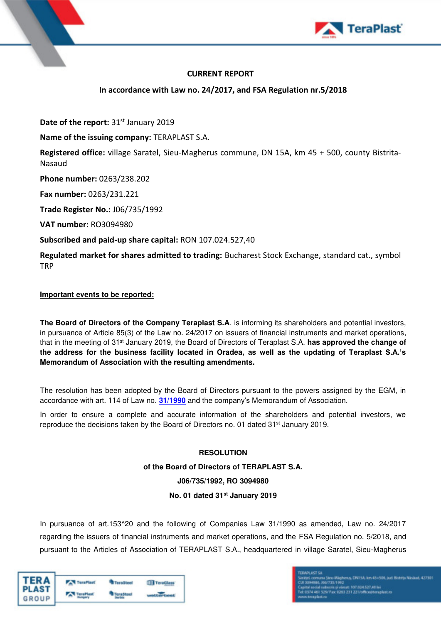

## **CURRENT REPORT**

## **In accordance with Law no. 24/2017, and FSA Regulation nr.5/2018**

**Date of the report: 31st January 2019** 

**Name of the issuing company:** TERAPLAST S.A.

**Registered office:** village Saratel, Sieu-Magherus commune, DN 15A, km 45 + 500, county Bistrita-Nasaud

**Phone number:** 0263/238.202

**Fax number:** 0263/231.221

**Trade Register No.:** J06/735/1992

**VAT number:** RO3094980

## **Subscribed and paid-up share capital:** RON 107.024.527,40

**Regulated market for shares admitted to trading:** Bucharest Stock Exchange, standard cat., symbol **TRP** 

### **Important events to be reported:**

**The Board of Directors of the Company Teraplast S.A**. is informing its shareholders and potential investors, in pursuance of Article 85(3) of the Law no. 24**/**2017 on issuers of financial instruments and market operations, that in the meeting of 31st January 2019, the Board of Directors of Teraplast S.A. **has approved the change of the address for the business facility located in Oradea, as well as the updating of Teraplast S.A.'s Memorandum of Association with the resulting amendments.** 

The resolution has been adopted by the Board of Directors pursuant to the powers assigned by the EGM, in accordance with art. 114 of Law no. **[31/1990](https://idrept.ro/00078665.htm)** and the company's Memorandum of Association.

In order to ensure a complete and accurate information of the shareholders and potential investors, we reproduce the decisions taken by the Board of Directors no. 01 dated 31<sup>st</sup> January 2019.

### **RESOLUTION**

**of the Board of Directors of TERAPLAST S.A. J06/735/1992, RO 3094980 No. 01 dated 31st January 2019** 

In pursuance of art.153^20 and the following of Companies Law 31/1990 as amended, Law no. 24/2017 regarding the issuers of financial instruments and market operations, and the FSA Regulation no. 5/2018, and pursuant to the Articles of Association of TERAPLAST S.A., headquartered in village Saratel, Sieu-Magherus

| <b>TERA</b><br>PLAST | <b>TeraPlast</b> | <b>TeraSteel</b> | TeraGlass        |
|----------------------|------------------|------------------|------------------|
| GROUP                | <b>TaraFlast</b> | <b>TeraSteel</b> | <b>WHEEWATER</b> |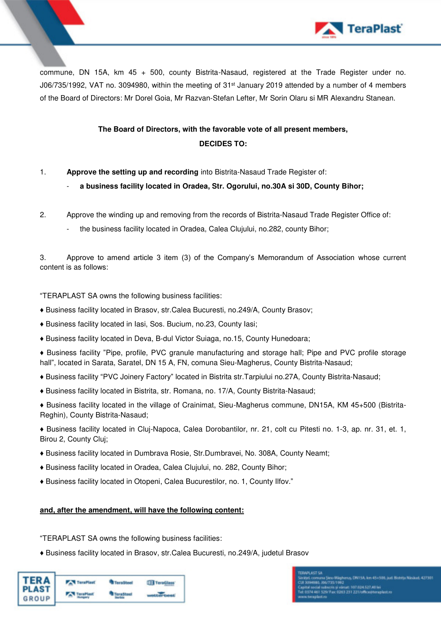

commune, DN 15A, km 45 + 500, county Bistrita-Nasaud, registered at the Trade Register under no. J06/735/1992, VAT no. 3094980, within the meeting of 31<sup>st</sup> January 2019 attended by a number of 4 members of the Board of Directors: Mr Dorel Goia, Mr Razvan-Stefan Lefter, Mr Sorin Olaru si MR Alexandru Stanean.

# **The Board of Directors, with the favorable vote of all present members, DECIDES TO:**

- 1. **Approve the setting up and recording** into Bistrita-Nasaud Trade Register of:
	- a business facility located in Oradea, Str. Ogorului, no.30A si 30D, County Bihor;
- 2. Approve the winding up and removing from the records of Bistrita-Nasaud Trade Register Office of:
	- the business facility located in Oradea, Calea Clujului, no.282, county Bihor;

3. Approve to amend article 3 item (3) of the Company's Memorandum of Association whose current content is as follows:

"TERAPLAST SA owns the following business facilities:

- ♦ Business facility located in Brasov, str.Calea Bucuresti, no.249/A, County Brasov;
- ♦ Business facility located in Iasi, Sos. Bucium, no.23, County Iasi;
- ♦ Business facility located in Deva, B-dul Victor Suiaga, no.15, County Hunedoara;

♦ Business facility "Pipe, profile, PVC granule manufacturing and storage hall; Pipe and PVC profile storage hall", located in Sarata, Saratel, DN 15 A, FN, comuna Sieu-Magherus, County Bistrita-Nasaud;

- ♦ Business facility "PVC Joinery Factory" located in Bistrita str.Tarpiului no.27A, County Bistrita-Nasaud;
- ♦ Business facility located in Bistrita, str. Romana, no. 17/A, County Bistrita-Nasaud;
- ♦ Business facility located in the village of Crainimat, Sieu-Magherus commune, DN15A, KM 45+500 (Bistrita-Reghin), County Bistrita-Nasaud;

♦ Business facility located in Cluj-Napoca, Calea Dorobantilor, nr. 21, colt cu Pitesti no. 1-3, ap. nr. 31, et. 1, Birou 2, County Cluj;

- ♦ Business facility located in Dumbrava Rosie, Str.Dumbravei, No. 308A, County Neamt;
- ♦ Business facility located in Oradea, Calea Clujului, no. 282, County Bihor;
- ♦ Business facility located in Otopeni, Calea Bucurestilor, no. 1, County Ilfov."

#### **and, after the amendment, will have the following content:**

"TERAPLAST SA owns the following business facilities:

♦ Business facility located in Brasov, str.Calea Bucuresti, no.249/A, judetul Brasov

| TERA<br>PLAST<br>GROUP | <b>TeraPlast</b> | <b>TeraSteel</b> | <b>TeraGlass</b> |
|------------------------|------------------|------------------|------------------|
|                        | TeraPlast        |                  |                  |

15/1992<br>15/1992<br>His și vărsat: 107.034.527,40 lei<br>Fax: 0353 251 221/office@terap